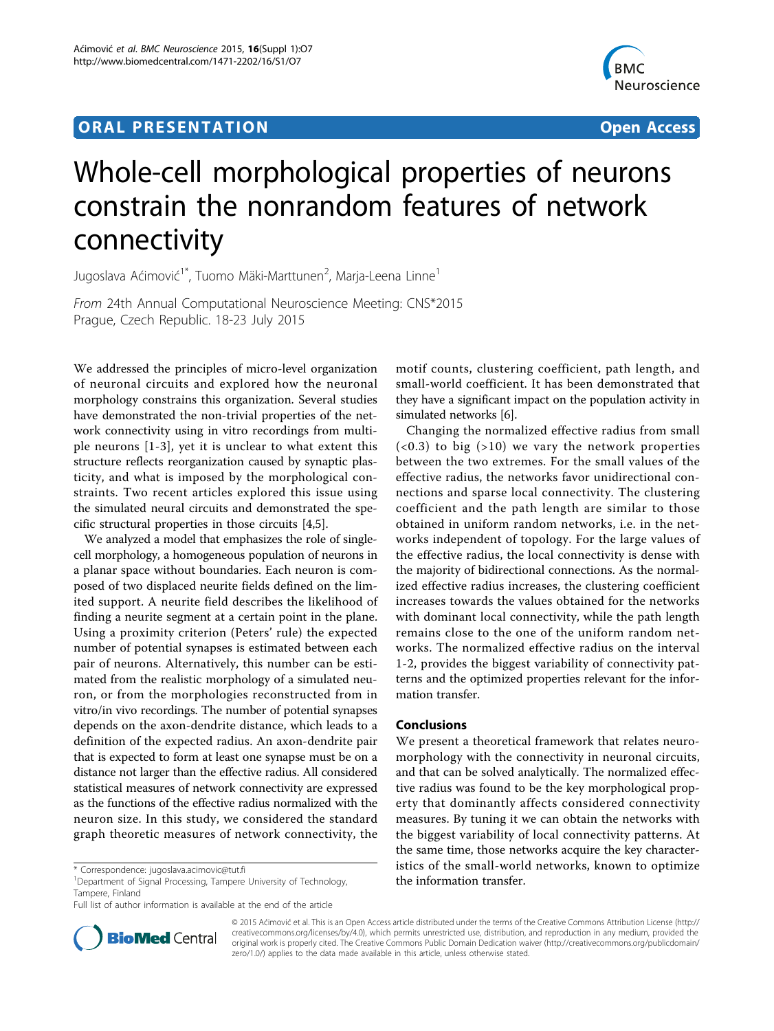# **ORAL PRESENTATION CONSUMING ACCESS**



# Whole-cell morphological properties of neurons constrain the nonrandom features of network connectivity

Jugoslava Aćimović<sup>1\*</sup>, Tuomo Mäki-Marttunen<sup>2</sup>, Marja-Leena Linne<sup>1</sup>

From 24th Annual Computational Neuroscience Meeting: CNS\*2015 Prague, Czech Republic. 18-23 July 2015

We addressed the principles of micro-level organization of neuronal circuits and explored how the neuronal morphology constrains this organization. Several studies have demonstrated the non-trivial properties of the network connectivity using in vitro recordings from multiple neurons [\[1-3](#page-1-0)], yet it is unclear to what extent this structure reflects reorganization caused by synaptic plasticity, and what is imposed by the morphological constraints. Two recent articles explored this issue using the simulated neural circuits and demonstrated the specific structural properties in those circuits [[4](#page-1-0),[5](#page-1-0)].

We analyzed a model that emphasizes the role of singlecell morphology, a homogeneous population of neurons in a planar space without boundaries. Each neuron is composed of two displaced neurite fields defined on the limited support. A neurite field describes the likelihood of finding a neurite segment at a certain point in the plane. Using a proximity criterion (Peters' rule) the expected number of potential synapses is estimated between each pair of neurons. Alternatively, this number can be estimated from the realistic morphology of a simulated neuron, or from the morphologies reconstructed from in vitro/in vivo recordings. The number of potential synapses depends on the axon-dendrite distance, which leads to a definition of the expected radius. An axon-dendrite pair that is expected to form at least one synapse must be on a distance not larger than the effective radius. All considered statistical measures of network connectivity are expressed as the functions of the effective radius normalized with the neuron size. In this study, we considered the standard graph theoretic measures of network connectivity, the

<sup>1</sup>Department of Signal Processing, Tampere University of Technology, Tampere, Finland

motif counts, clustering coefficient, path length, and small-world coefficient. It has been demonstrated that they have a significant impact on the population activity in simulated networks [\[6\]](#page-1-0).

Changing the normalized effective radius from small  $( $0.3$ )$  to big  $(>10)$  we vary the network properties between the two extremes. For the small values of the effective radius, the networks favor unidirectional connections and sparse local connectivity. The clustering coefficient and the path length are similar to those obtained in uniform random networks, i.e. in the networks independent of topology. For the large values of the effective radius, the local connectivity is dense with the majority of bidirectional connections. As the normalized effective radius increases, the clustering coefficient increases towards the values obtained for the networks with dominant local connectivity, while the path length remains close to the one of the uniform random networks. The normalized effective radius on the interval 1-2, provides the biggest variability of connectivity patterns and the optimized properties relevant for the information transfer.

## Conclusions

We present a theoretical framework that relates neuromorphology with the connectivity in neuronal circuits, and that can be solved analytically. The normalized effective radius was found to be the key morphological property that dominantly affects considered connectivity measures. By tuning it we can obtain the networks with the biggest variability of local connectivity patterns. At the same time, those networks acquire the key characteristics of the small-world networks, known to optimize the information transfer.



© 2015 Aćimović et al. This is an Open Access article distributed under the terms of the Creative Commons Attribution License [\(http://](http://creativecommons.org/licenses/by/4.0) [creativecommons.org/licenses/by/4.0](http://creativecommons.org/licenses/by/4.0)), which permits unrestricted use, distribution, and reproduction in any medium, provided the original work is properly cited. The Creative Commons Public Domain Dedication waiver ([http://creativecommons.org/publicdomain/](http://creativecommons.org/publicdomain/zero/1.0/) [zero/1.0/](http://creativecommons.org/publicdomain/zero/1.0/)) applies to the data made available in this article, unless otherwise stated.

<sup>\*</sup> Correspondence: [jugoslava.acimovic@tut.fi](mailto:jugoslava.acimovic@tut.fi)

Full list of author information is available at the end of the article